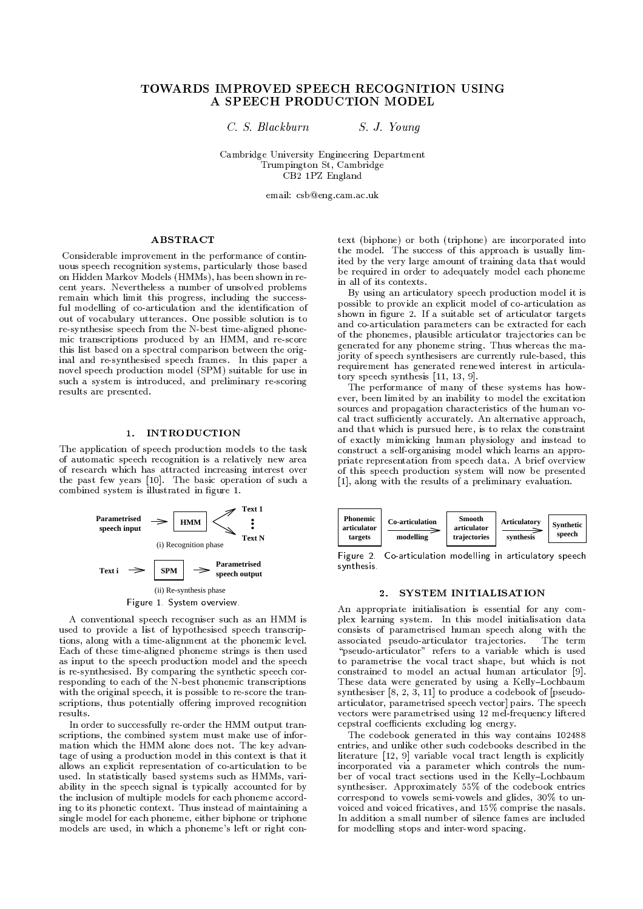# TOWARDS IMPROVED SPEECH RECOGNITION USING A SPEECH PRODUCTION MODEL

C. S. Blackburn

S. J. Young

Cambridge University Engineering Department Trumpington St, Cambridge CB2 1PZ England

email: csb@eng.cam.ac.uk

# **ABSTRACT**

Considerable improvement in the performance of continuous speech recognition systems, particularly those based on Hidden Markov Models (HMMs), has been shown in recent years. Nevertheless a number of unsolved problems remain which limit this progress, including the successful modelling of co-articulation and the identification of out of vocabulary utterances. One possible solution is to re-synthesise speech from the N-best time-aligned phonemic transcriptions produced by an HMM, and re-score this list based on a spectral comparison between the original and re-synthesised speech frames. In this paper a novel speech production model (SPM) suitable for use in such a system is introduced, and preliminary re-scoring results are presented.

## 1. INTRODUCTION

The application of speech production models to the task of automatic speech recognition is a relatively new area of research which has attracted increasing interest over the past few years [10]. The basic operation of such a combined system is illustrated in figure 1.



A conventional speech recogniser such as an HMM is used to provide a list of hypothesised speech transcriptions, along with a time-alignment at the phonemic level. Each of these time-aligned phoneme strings is then used as input to the speech production model and the speech is re-synthesised. By comparing the synthetic speech corresponding to each of the N-best phonemic transcriptions with the original speech, it is possible to re-score the transcriptions, thus potentially offering improved recognition results.

In order to successfully re-order the HMM output transcriptions, the combined system must make use of information which the HMM alone does not. The key advantage of using a production model in this context is that it allows an explicit representation of co-articulation to be used. In statistically based systems such as HMMs, variability in the speech signal is typically accounted for by the inclusion of multiple models for each phoneme according to its phonetic context. Thus instead of maintaining a single model for each phoneme, either biphone or triphone models are used, in which a phoneme's left or right context (biphone) or both (triphone) are incorporated into the model. The success of this approach is usually limited by the very large amount of training data that would be required in order to adequately model each phoneme in all of its contexts.

By using an articulatory speech production model it is possible to provide an explicit model of co-articulation as shown in figure 2. If a suitable set of articulator targets and co-articulation parameters can be extracted for each of the phonemes, plausible articulator trajectories can be generated for any phoneme string. Thus whereas the majority of speech synthesisers are currently rule-based, this requirement has generated renewed interest in articulatory speech synthesis [11, 13, 9].

The performance of many of these systems has however, been limited by an inability to model the excitation sources and propagation characteristics of the human vocal tract sufficiently accurately. An alternative approach, and that which is pursued here, is to relax the constraint of exactly mimicking human physiology and instead to construct a self-organising model which learns an appropriate representation from speech data. A brief overview of this speech production system will now be presented [1], along with the results of a preliminary evaluation.



Figure 2. Co-articulation modelling in articulatory speech svnthesis.

## 2. SYSTEM INITIALISATION

An appropriate initialisation is essential for any complex learning system. In this model initialisation data consists of parametrised human speech along with the The term associated pseudo-articulator trajectories. "pseudo-articulator" refers to a variable which is used to parametrise the vocal tract shape, but which is not constrained to model an actual human articulator [9]. These data were generated by using a Kelly-Lochbaum synthesiser  $[8, 2, 3, 11]$  to produce a codebook of [pseudoarticulator, parametrised speech vector] pairs. The speech vectors were parametrised using 12 mel-frequency liftered cepstral coefficients excluding log energy.

The codebook generated in this way contains 102488 entries, and unlike other such codebooks described in the literature  $[12, 9]$  variable vocal tract length is explicitly incorporated via a parameter which controls the number of vocal tract sections used in the Kelly-Lochbaum synthesiser. Approximately 55% of the codebook entries correspond to vowels semi-vowels and glides, 30% to unvoiced and voiced fricatives, and 15% comprise the nasals. In addition a small number of silence fames are included for modelling stops and inter-word spacing.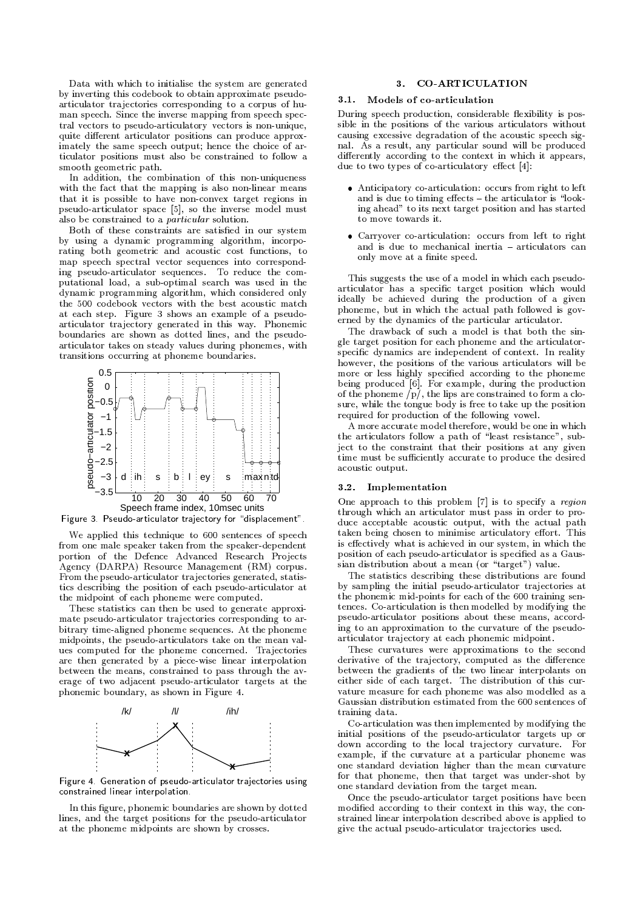Data with which to initialise the system are generated by inverting this codebook to obtain approximate pseudoarticulator trajectories corresponding to a corpus of human speech. Since the inverse mapping from speech spectral vectors to pseudo-articulatory vectors is non-unique, quite different articulator positions can produce approximately the same speech output; hence the choice of articulator positions must also be constrained to follow a smooth geometric path.

In addition, the combination of this non-uniqueness with the fact that the mapping is also non-linear means that it is possible to have non-convex target regions in pseudo-articulator space [5], so the inverse model must also be constrained to a *particular* solution.

Both of these constraints are satisfied in our system by using a dynamic programming algorithm, incorporating both geometric and acoustic cost functions, to map speech spectral vector sequences into corresponding pseudo-articulator sequences. To reduce the computational load, a sub-optimal search was used in the dynamic programming algorithm, which considered only the 500 codebook vectors with the best acoustic match at each step. Figure 3 shows an example of a pseudoarticulator trajectory generated in this way. Phonemic boundaries are shown as dotted lines, and the pseudoarticulator takes on steady values during phonemes, with transitions occurring at phoneme boundaries.



Figure 3. Pseudo-articulator trajectory for "displacement".

We applied this technique to 600 sentences of speech from one male speaker taken from the speaker-dependent portion of the Defence Advanced Research Projects Agency (DARPA) Resource Management (RM) corpus. From the pseudo-articulator trajectories generated, statistics describing the position of each pseudo-articulator at the midpoint of each phoneme were computed.

These statistics can then be used to generate approximate pseudo-articulator trajectories corresponding to arbitrary time-aligned phoneme sequences. At the phoneme midpoints, the pseudo-articulators take on the mean values computed for the phoneme concerned. Trajectories are then generated by a piece-wise linear interpolation between the means, constrained to pass through the average of two adjacent pseudo-articulator targets at the phonemic boundary, as shown in Figure 4.



Figure 4. Generation of pseudo-articulator trajectories using constrained linear interpolation.

In this figure, phonemic boundaries are shown by dotted lines, and the target positions for the pseudo-articulator at the phoneme midpoints are shown by crosses.

## 3. CO-ARTICULATION

#### 3.1. Models of co-articulation

During speech production, considerable flexibility is possible in the positions of the various articulators without causing excessive degradation of the acoustic speech signal. As a result, any particular sound will be produced differently according to the context in which it appears, due to two types of  $\overline{c}$  co-articulatory effect [4]:

- Anticipatory co-articulation: occurs from right to left and is due to timing effects - the articulator is "looking ahead" to its next target position and has started to move towards it
- Carryover co-articulation: occurs from left to right and is due to mechanical inertia - articulators can only move at a finite speed.

This suggests the use of a model in which each pseudoarticulator has a specific target position which would ideally be achieved during the production of a given phoneme, but in which the actual path followed is governed by the dynamics of the particular articulator.

The drawback of such a model is that both the single target position for each phoneme and the articulatorspecific dynamics are independent of context. In reality however, the positions of the various articulators will be more or less highly specified according to the phoneme being produced [6]. For example, during the production<br>of the phoneme  $/p/$ , the lips are constrained to form a closure, while the tongue body is free to take up the position required for production of the following vowel.

A more accurate model therefore, would be one in which the articulators follow a path of "least resistance", subject to the constraint that their positions at any given time must be sufficiently accurate to produce the desired acoustic output.

## 3.2. Implementation

One approach to this problem [7] is to specify a region through which an articulator must pass in order to produce acceptable acoustic output, with the actual path taken being chosen to minimise articulatory effort. This is effectively what is achieved in our system, in which the position of each pseudo-articulator is specified as a Gaussian distribution about a mean (or "target") value.

The statistics describing these distributions are found by sampling the initial pseudo-articulator trajectories at the phonemic mid-points for each of the 600 training sentences. Co-articulation is then modelled by modifying the pseudo-articulator positions about these means, according to an approximation to the curvature of the pseudoarticulator trajectory at each phonemic midpoint.

These curvatures were approximations to the second derivative of the trajectory, computed as the difference between the gradients of the two linear interpolants on either side of each target. The distribution of this curvature measure for each phoneme was also modelled as a Gaussian distribution estimated from the 600 sentences of training data.

Co-articulation was then implemented by modifying the initial positions of the pseudo-articulator targets up or down according to the local trajectory curvature. For example, if the curvature at a particular phoneme was one standard deviation higher than the mean curvature for that phoneme, then that target was under-shot by one standard deviation from the target mean.

Once the pseudo-articulator target positions have been modified according to their context in this way, the constrained linear interpolation described above is applied to give the actual pseudo-articulator trajectories used.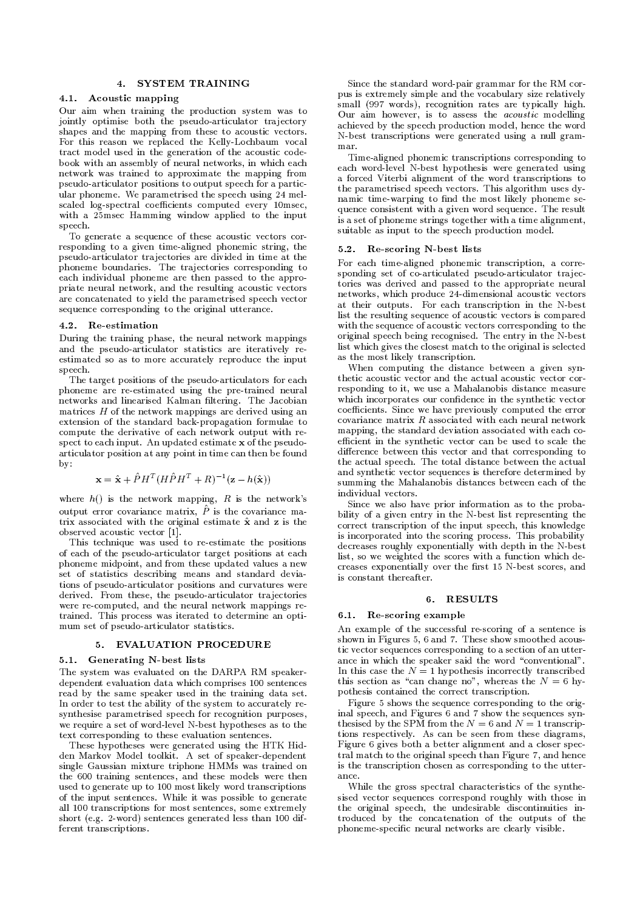# 4. SYSTEM TRAINING

## 4.1. Acoustic mapping

Our aim when training the production system was to jointly optimise both the pseudo-articulator trajectory shapes and the mapping from these to acoustic vectors. For this reason we replaced the Kelly-Lochbaum vocal tract model used in the generation of the acoustic codebook with an assembly of neural networks, in which each network was trained to approximate the mapping from pseudo-articulator positions to output speech for a particular phoneme. We parametrised the speech using 24 melscaled log-spectral coefficients computed every 10msec, with a 25msec Hamming window applied to the input speech.

To generate a sequence of these acoustic vectors corresponding to a given time-aligned phonemic string, the pseudo-articulator trajectories are divided in time at the phoneme boundaries. The trajectories corresponding to each individual phoneme are then passed to the appropriate neural network, and the resulting acoustic vectors are concatenated to yield the parametrised speech vector sequence corresponding to the original utterance.

### 4.2. Re-estimation

During the training phase, the neural network mappings and the pseudo-articulator statistics are iteratively reestimated so as to more accurately reproduce the input speech.

The target positions of the pseudo-articulators for each phoneme are re-estimated using the pre-trained neural networks and linearised Kalman filtering. The Jacobian matrices  $H$  of the network mappings are derived using an extension of the standard back-propagation formulae to compute the derivative of each network output with respect to each input. An updated estimate x of the pseudoarticulator position at any point in time can then be found  $\mathbf{b}\mathbf{v}$ 

$$
\mathbf{x} = \hat{\mathbf{x}} + \hat{P}H^{T}(H\hat{P}H^{T} + R)^{-1}(\mathbf{z} - h(\hat{\mathbf{x}}))
$$

where  $h()$  is the network mapping, R is the network's output error covariance matrix,  $\ddot{P}$  is the covariance matrix associated with the original estimate  $\hat{x}$  and  $z$  is the observed acoustic vector [1].

This technique was used to re-estimate the positions of each of the pseudo-articulator target positions at each phoneme midpoint, and from these updated values a new set of statistics describing means and standard deviations of pseudo-articulator positions and curvatures were derived. From these, the pseudo-articulator trajectories were re-computed, and the neural network mappings retrained. This process was iterated to determine an optimum set of pseudo-articulator statistics.

## 5. EVALUATION PROCEDURE

#### 5.1. Generating N-best lists

The system was evaluated on the DARPA RM speakerdependent evaluation data which comprises 100 sentences read by the same speaker used in the training data set. In order to test the ability of the system to accurately resynthesise parametrised speech for recognition purposes, we require a set of word-level N-best hypotheses as to the text corresponding to these evaluation sentences.

These hypotheses were generated using the HTK Hidden Markov Model toolkit. A set of speaker-dependent single Gaussian mixture triphone HMMs was trained on the 600 training sentences, and these models were then used to generate up to 100 most likely word transcriptions of the input sentences. While it was possible to generate all 100 transcriptions for most sentences, some extremely short (e.g. 2-word) sentences generated less than 100 different transcriptions.

Since the standard word-pair grammar for the RM corpus is extremely simple and the vocabulary size relatively small (997 words), recognition rates are typically high. Our aim however, is to assess the *acoustic* modelling achieved by the speech production model, hence the word N-best transcriptions were generated using a null grammar

Time-aligned phonemic transcriptions corresponding to each word-level N-best hypothesis were generated using a forced Viterbi alignment of the word transcriptions to the parametrised speech vectors. This algorithm uses dynamic time-warping to find the most likely phoneme sequence consistent with a given word sequence. The result is a set of phoneme strings together with a time alignment, suitable as input to the speech production model.

## 5.2. Re-scoring N-best lists

For each time-aligned phonemic transcription, a corresponding set of co-articulated pseudo-articulator trajectories was derived and passed to the appropriate neural networks, which produce 24-dimensional acoustic vectors at their outputs. For each transcription in the N-best list the resulting sequence of acoustic vectors is compared with the sequence of acoustic vectors corresponding to the original speech being recognised. The entry in the N-best list which gives the closest match to the original is selected as the most likely transcription.

When computing the distance between a given synthetic acoustic vector and the actual acoustic vector corresponding to it, we use a Mahalanobis distance measure which incorporates our confidence in the synthetic vector coefficients. Since we have previously computed the error covariance matrix  $R$  associated with each neural network mapping, the standard deviation associated with each coefficient in the synthetic vector can be used to scale the difference between this vector and that corresponding to the actual speech. The total distance between the actual and synthetic vector sequences is therefore determined by summing the Mahalanobis distances between each of the individual vectors.

Since we also have prior information as to the probability of a given entry in the N-best list representing the correct transcription of the input speech, this knowledge is incorporated into the scoring process. This probability decreases roughly exponentially with depth in the N-best list, so we weighted the scores with a function which decreases exponentially over the first 15 N-best scores, and is constant thereafter.

## 6. RESULTS

#### 6.1. Re-scoring example

An example of the successful re-scoring of a sentence is shown in Figures 5, 6 and 7. These show smoothed acoustic vector sequences corresponding to a section of an utterance in which the speaker said the word "conventional". In this case the  $N = 1$  hypothesis incorrectly transcribed this section as "can change no", whereas the  $N = 6$  hypothesis contained the correct transcription.

Figure 5 shows the sequence corresponding to the original speech, and Figures 6 and 7 show the sequences synthesised by the SPM from the  $N = 6$  and  $N = 1$  transcriptions respectively. As can be seen from these diagrams, Figure 6 gives both a better alignment and a closer spectral match to the original speech than Figure 7, and hence is the transcription chosen as corresponding to the utterance

While the gross spectral characteristics of the synthesised vector sequences correspond roughly with those in the original speech, the undesirable discontinuities introduced by the concatenation of the outputs of the phoneme-specific neural networks are clearly visible.